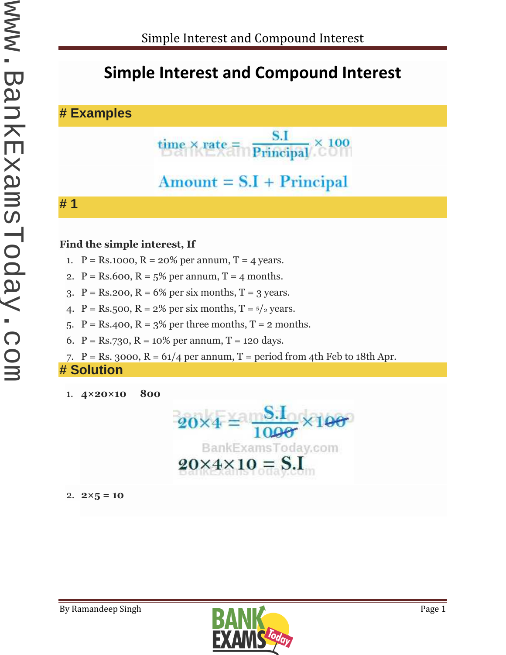# **Simple Interest and Compound Interest**

### **# Examples**

$$
time \times rate = \frac{S.I}{Principal} \times 100
$$

# $Amount = S.I + Principal$

#### **# 1**

#### **Find the simple interest, If**

- 1.  $P = Rs.1000$ ,  $R = 20\%$  per annum,  $T = 4$  years.
- 2.  $P = Rs.600$ ,  $R = 5\%$  per annum,  $T = 4$  months.
- 3.  $P = Rs.200$ ,  $R = 6%$  per six months,  $T = 3$  years.
- 4. P = Rs.500, R =  $2\%$  per six months, T =  $\frac{5}{2}$  years.
- 5.  $P = Rs.400$ ,  $R = 3%$  per three months,  $T = 2$  months.
- 6.  $P = Rs.730$ ,  $R = 10\%$  per annum,  $T = 120$  days.
- 7.  $P = Rs. 3000$ ,  $R = 61/4$  per annum,  $T = period from 4th Feb to 18th Apr.$

#### **# Solution**

1. **4×20×10 800**



2. 
$$
2 \times 5 = 10
$$

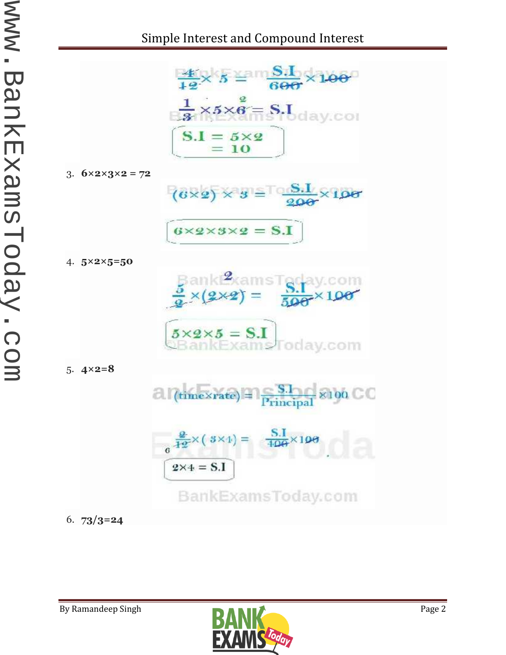

3. **6×2×3×2 = 72**



 $6\times 2\times 3\times 2 = S.I$ 

4. 
$$
5 \times 2 \times 5 = 50
$$



$$
\begin{array}{l}\n\mathbf{5} \times \mathbf{2} \times \mathbf{5} = \mathbf{S}.\mathbf{I} \\
\hline\n\text{BBankExams} \quad \text{Totaly.com}\n\end{array}
$$

5. **4×2=8**



6. **73/3=24**

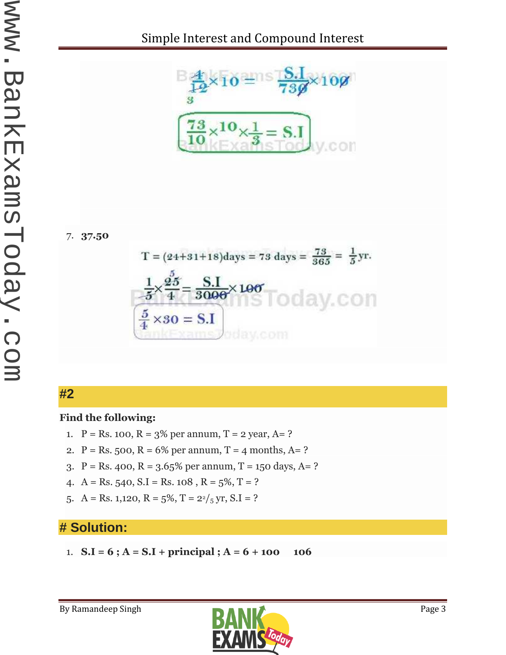

7. **37.50**



## **#2**

#### **Find the following:**

- 1.  $P = Rs. 100, R = 3\%$  per annum, T = 2 year, A = ?
- 2.  $P = Rs. 500, R = 6%$  per annum, T = 4 months, A= ?
- 3.  $P = Rs. 400$ ,  $R = 3.65\%$  per annum,  $T = 150$  days,  $A = ?$
- 4. A = Rs. 540, S.I = Rs. 108, R =  $5\%, T = ?$
- 5. A = Rs. 1,120, R =  $5\%, T = \frac{22}{5}$  yr, S.I = ?

## **# Solution:**

1. **S.I** =  $6$ ;  $A = S.I + principal$ ;  $A = 6 + 100$  **106** 

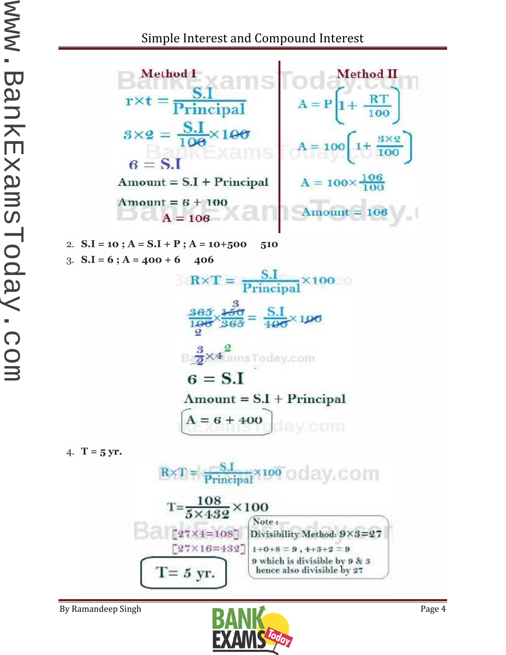

3.  $S.I = 6$ ;  $A = 400 + 6$  406  $\text{R} \times \text{T} = \frac{\text{S.I}}{\text{Principal}} \times 100$  $\frac{365}{100} \times \frac{100}{365} = \frac{S.I}{400} \times 100$ Box<sup>2</sup>kamsToday.com  $6 = S.I$  $Amount = S.I + Principal$  $A = 6 + 400$ 

4. **T** = 5 yr.



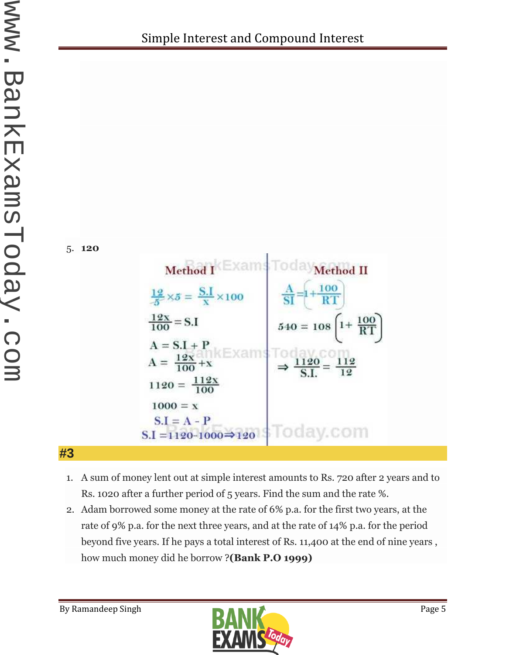



**#3**

- 1. A sum of money lent out at simple interest amounts to Rs. 720 after 2 years and to Rs. 1020 after a further period of 5 years. Find the sum and the rate %.
- 2. Adam borrowed some money at the rate of 6% p.a. for the first two years, at the rate of 9% p.a. for the next three years, and at the rate of 14% p.a. for the period beyond five years. If he pays a total interest of Rs. 11,400 at the end of nine years , how much money did he borrow ?**(Bank P.O 1999)**

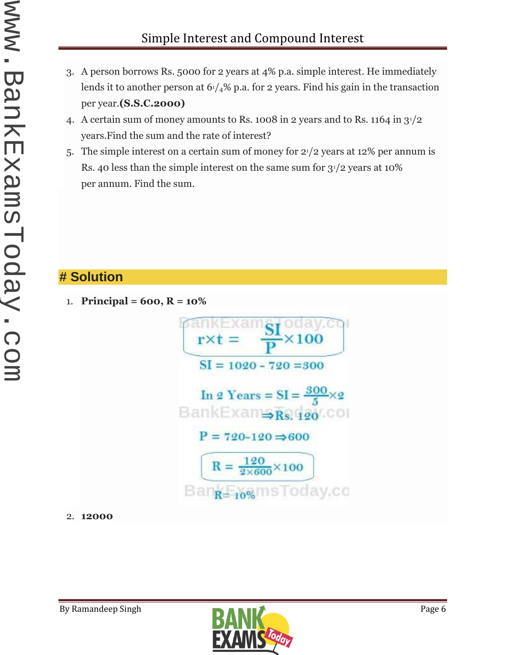- 3. A person borrows Rs. 5000 for 2 years at 4% p.a. simple interest. He immediately lends it to another person at  $61/4\%$  p.a. for 2 years. Find his gain in the transaction per year.**(S.S.C.2000)**
- 4. A certain sum of money amounts to Rs. 1008 in 2 years and to Rs. 1164 in 31/2 years.Find the sum and the rate of interest?
- 5. The simple interest on a certain sum of money for 21/2 years at 12% per annum is Rs. 40 less than the simple interest on the same sum for  $3^{1/2}$  years at 10% per annum. Find the sum.

## **# Solution**

1. **Principal = 600, R = 10%**



2. **12000**

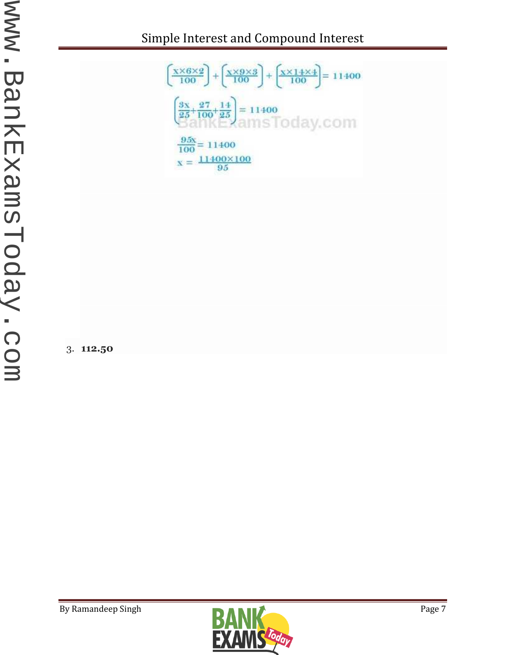Simple Interest and Compound Interest



3. **112.50**

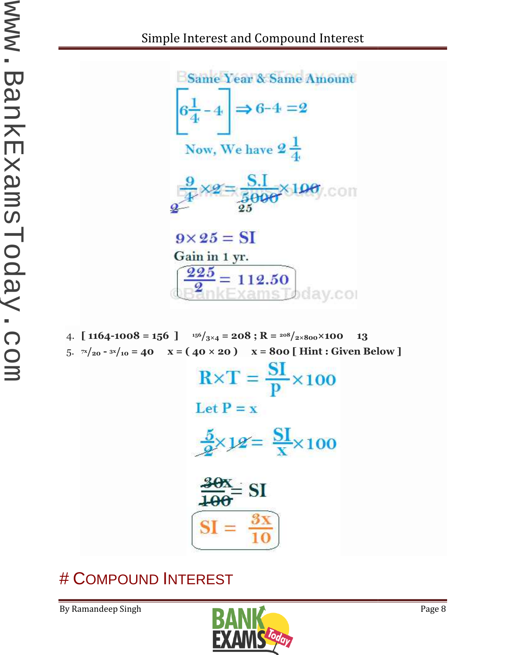

4. **[** 1164-1008 = 156 ]  $15^{6}/_{3\times4}$  = 208; R =  $20^{8}/_{2\times800}\times100$  13 5. **7x/<sup>20</sup> - 3x/<sup>10</sup> = 40 x = ( 40 × 20 ) x = 800 [ Hint : Given Below ]**



# # COMPOUND INTEREST

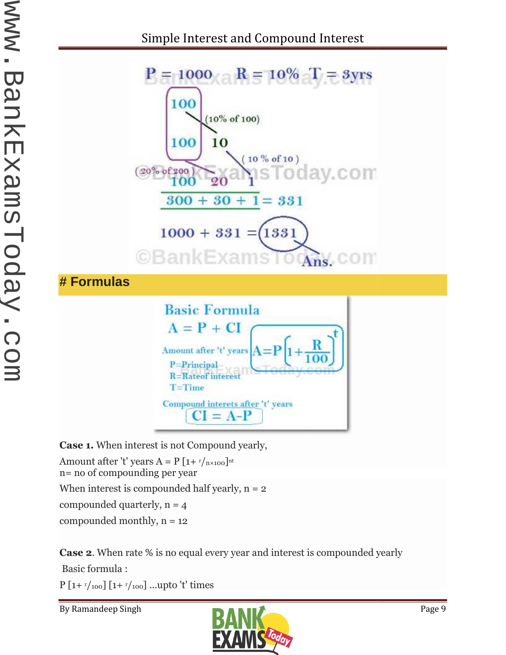

**Case 1.** When interest is not Compound yearly,

Amount after 't' years A = P [1+  $r/r_{\text{n} \times 100}$ ]<sup>nt</sup> n= no of compounding per year When interest is compounded half yearly,  $n = 2$ compounded quarterly,  $n = 4$ compounded monthly,  $n = 12$ **1.** When interest is not Compound yearly,<br>
at after 't' years A = P [1+  $r/n \times 100^{n}$ <br>
of compounding per year<br>
interest is compounded half yearly, n = 2<br>
uunded quarterly, n = 12<br>
2. When rate % is no equal every year a

compounded monthly, n = 12<br>**Case 2**. When rate % is no equal every year and interest is compounded yearly

Basic formula :

 $P [1 + r/100] [1 + r/100] ...$ upto 't' times

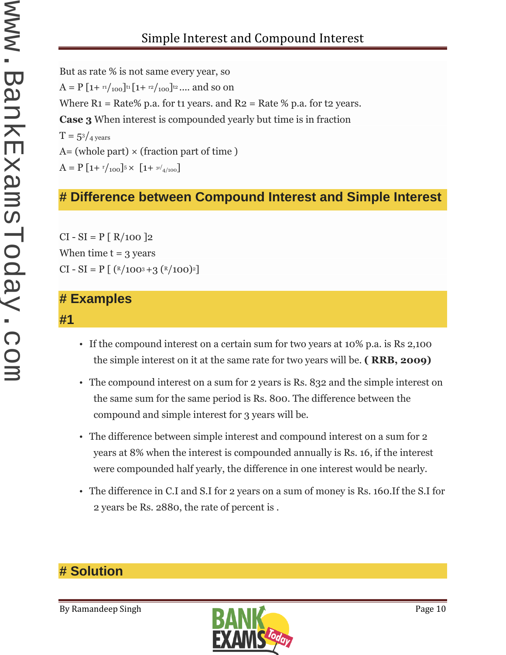# Simple Interest and Compound Interest

But as rate % is not same every year, so  $A = P\left[1 + \frac{r_1}{100}\right]^{t_1} \left[1 + \frac{r_2}{100}\right]^{t_2} \dots$  and so on Where  $R_1$  = Rate% p.a. for t1 years. and  $R_2$  = Rate % p.a. for t2 years. **Case 3** When interest is compounded yearly but time is in fraction  $T = 5<sup>3</sup>/4$  years  $A=$  (whole part)  $\times$  (fraction part of time)  $A = P \left[ 1 + \frac{r}{100} \right] 5 \times \left[ 1 + \frac{3r}{4/100} \right]$ 

## **# Difference between Compound Interest and Simple Interest**

 $CI - SI = P [ R/100 ]2$ When time  $t = 3$  years  $CI - SI = P$   $[$   $(R/100^3 + 3 (R/100)^2]$ 

### **# Examples**

#### **#1**

- If the compound interest on a certain sum for two years at 10% p.a. is Rs 2,100 the simple interest on it at the same rate for two years will be. **( RRB, 2009)**
- The compound interest on a sum for 2 years is Rs. 832 and the simple interest on the same sum for the same period is Rs. 800. The difference between the compound and simple interest for 3 years will be.
- The difference between simple interest and compound interest on a sum for 2 years at 8% when the interest is compounded annually is Rs. 16, if the interest were compounded half yearly, the difference in one interest would be nearly.
- The difference in C.I and S.I for 2 years on a sum of money is Rs. 160.If the S.I for 2 years be Rs. 2880, the rate of percent is .

## **# Solution**

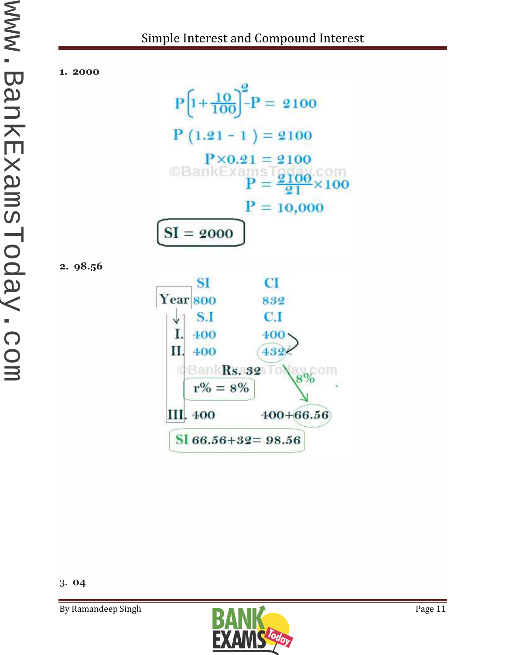